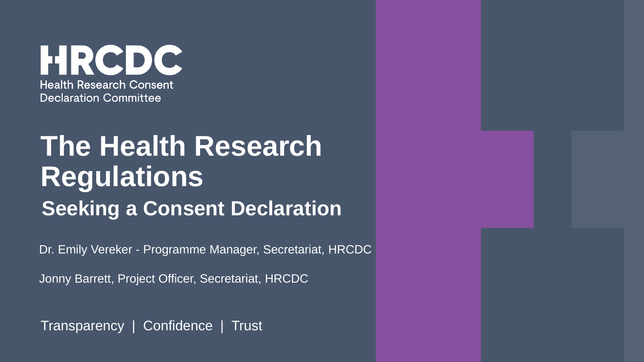HRCDC **Health Research Consent Declaration Committee** 

# **The Health Research Regulations Seeking a Consent Declaration**

Dr. Emily Vereker - Programme Manager, Secretariat, HRCDC

Jonny Barrett, Project Officer, Secretariat, HRCDC

Transparency | Confidence | Trust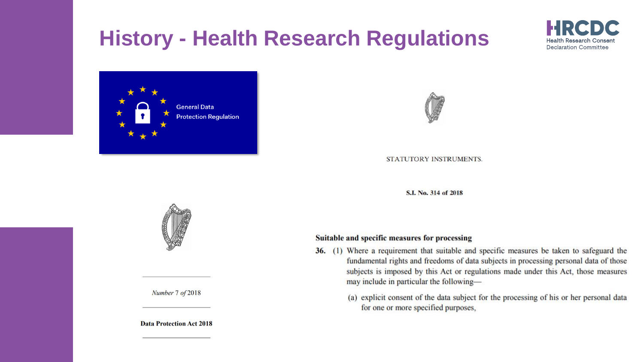## **History - Health Research Regulations**





STATUTORY INSTRUMENTS.

S.I. No. 314 of 2018

#### Suitable and specific measures for processing

- 36. (1) Where a requirement that suitable and specific measures be taken to safeguard the fundamental rights and freedoms of data subjects in processing personal data of those subjects is imposed by this Act or regulations made under this Act, those measures may include in particular the following-
	- (a) explicit consent of the data subject for the processing of his or her personal data for one or more specified purposes,



Number 7 of 2018

**Data Protection Act 2018** 

Declaration Committee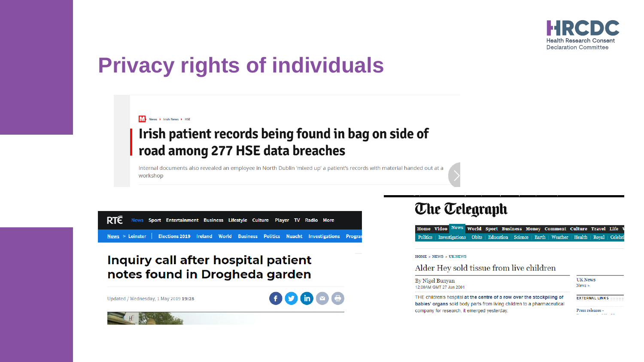

#### **Privacy rights of individuals**

#### News > Irish News > HSE

#### Irish patient records being found in bag on side of road among 277 HSE data breaches

Internal documents also revealed an employee in North Dublin 'mixed up' a patient's records with material handed out at a workshop

**RTE** News Sport Entertainment Business Lifestyle Culture Player TV Radio More  $News > Leinstein$ Elections 2019 Ireland World Business Politics Nuacht Investigations Progra

#### Inquiry call after hospital patient notes found in Drogheda garden

Updated / Wednesday, 1 May 2019 19:28



#### **The Telegraph**

Home Video News World Sport Business Money Comment Culture Travel Life Politics | Investigations | Obits | Education | Science | Earth | Weather | Health | Royal | Celeb

#### HOME » NEWS » UK NEWS

#### Alder Hey sold tissue from live children

| By Nigel Bunyan<br>12:00AM GMT 27 Jan 2001                                                                           | <b>UK News</b><br>News » |  |
|----------------------------------------------------------------------------------------------------------------------|--------------------------|--|
| THE children's hospital at the centre of a row over the stockpiling of                                               | <b>EXTERNAL LINKS</b>    |  |
| babies' organs sold body parts from living children to a pharmaceutical<br>company for research if emerged vesterday | Press releases -         |  |

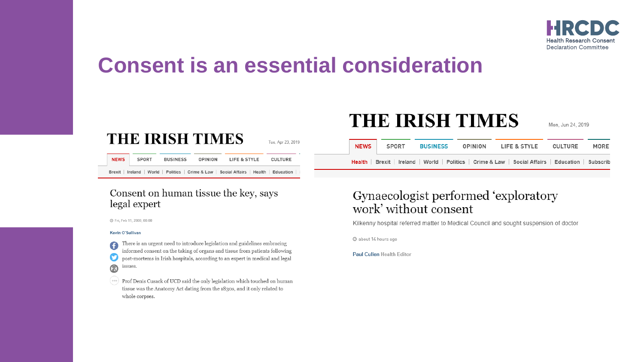

#### **Consent is an essential consideration**

#### **THE IRISH TIMES**

Tue, Apr 23, 2019

| <b>NEWS</b> | SPORT | <b>BUSINESS</b> | OPINION | LIFE & STYLE                                                                            | CULTURE |  |
|-------------|-------|-----------------|---------|-----------------------------------------------------------------------------------------|---------|--|
|             |       |                 |         | Brexit   Ireland   World   Politics   Crime & Law   Social Affairs   Health   Education |         |  |

#### Consent on human tissue the key, says legal expert

© Fri, Feb 11, 2000, 00:00

#### Kevin O'Sullivan

There is an urgent need to introduce legislation and guidelines embracing G informed consent on the taking of organs and tissue from patients following post-mortems in Irish hospitals, according to an expert in medical and legal issues.

(\*\*\*) Prof Denis Cusack of UCD said the only legislation which touched on human tissue was the Anatomy Act dating from the 1830s, and it only related to whole corpses.

#### **THE IRISH TIMES**

Mon. Jun 24, 2019

| <b>NEWS</b> | SPORT | <b>BUSINESS</b> | OPINION | LIFE & STYLE                                                                                              | CULTURE | MORE |
|-------------|-------|-----------------|---------|-----------------------------------------------------------------------------------------------------------|---------|------|
|             |       |                 |         | <b>Health</b>   Brexit   Ireland   World   Politics   Crime & Law   Social Affairs   Education   Subscrib |         |      |

#### Gynaecologist performed 'exploratory work' without consent

Kilkenny hospital referred matter to Medical Council and sought suspension of doctor

@ about 14 hours ago

Paul Cullen Health Editor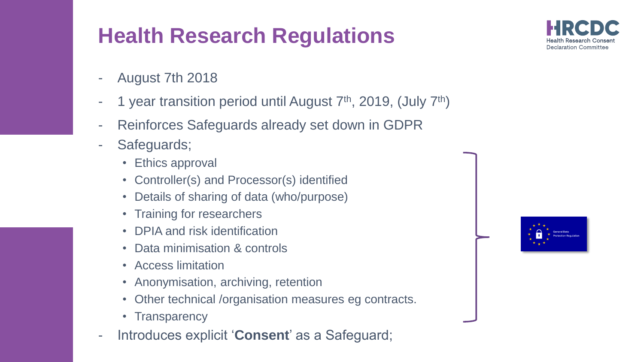## **Health Research Regulations**

- August 7th 2018
- 1 year transition period until August  $7<sup>th</sup>$ , 2019, (July  $7<sup>th</sup>$ )
- Reinforces Safeguards already set down in GDPR
- Safeguards;
	- Ethics approval
	- Controller(s) and Processor(s) identified
	- Details of sharing of data (who/purpose)
	- Training for researchers
	- DPIA and risk identification
	- Data minimisation & controls
	- Access limitation
	- Anonymisation, archiving, retention
	- Other technical /organisation measures eg contracts.
	- Transparency
- Introduces explicit '**Consent**' as a Safeguard;



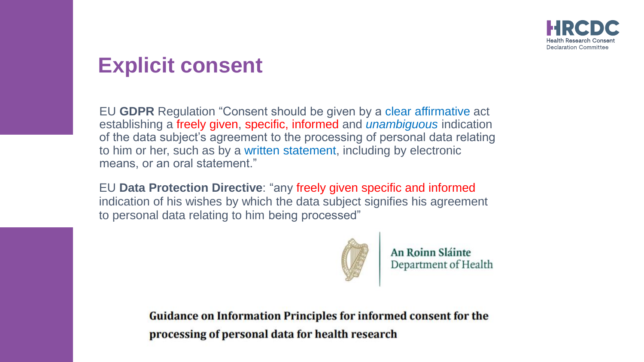#### **Explicit consent**

EU **GDPR** Regulation "Consent should be given by a clear affirmative act establishing a freely given, specific, informed and *unambiguous* indication of the data subject's agreement to the processing of personal data relating to him or her, such as by a written statement, including by electronic means, or an oral statement."

EU **Data Protection Directive**: "any freely given specific and informed indication of his wishes by which the data subject signifies his agreement to personal data relating to him being processed"



An Roinn Sláinte Department of Health

**Guidance on Information Principles for informed consent for the** processing of personal data for health research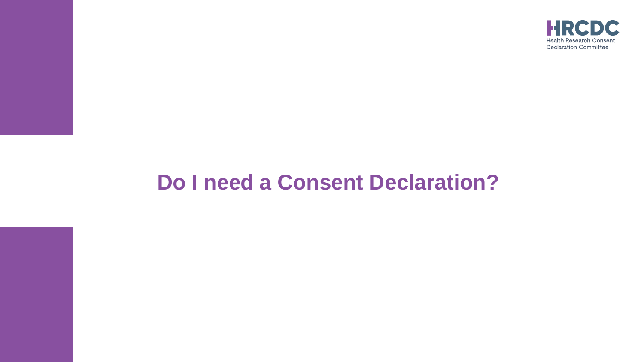

## **Do I need a Consent Declaration?**

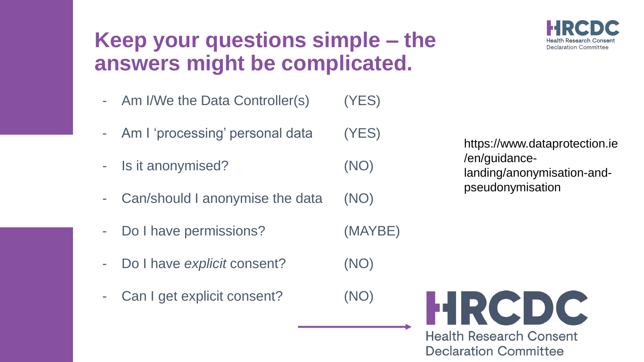### **Keep your questions simple – the answers might be complicated.**

- Am I/We the Data Controller(s) (YES)
- Am I 'processing' personal data (YES)
- Is it anonymised? (NO)
- Can/should I anonymise the data (NO)
- Do I have permissions? (MAYBE)
- Do I have *explicit* consent? (NO)
- Can I get explicit consent? (NO)

https://www.dataprotection.ie /en/guidancelanding/anonymisation-andpseudonymisation

**Health Research Consent Declaration Committee** 

HRCDC

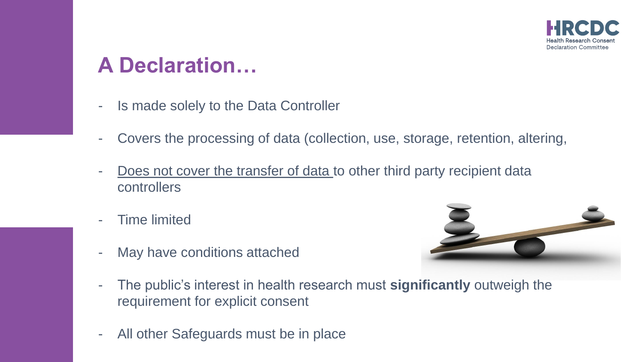

#### **A Declaration…**

- Is made solely to the Data Controller
- Covers the processing of data (collection, use, storage, retention, altering,
- Does not cover the transfer of data to other third party recipient data controllers
- Time limited



- May have conditions attached
- The public's interest in health research must **significantly** outweigh the requirement for explicit consent
- All other Safeguards must be in place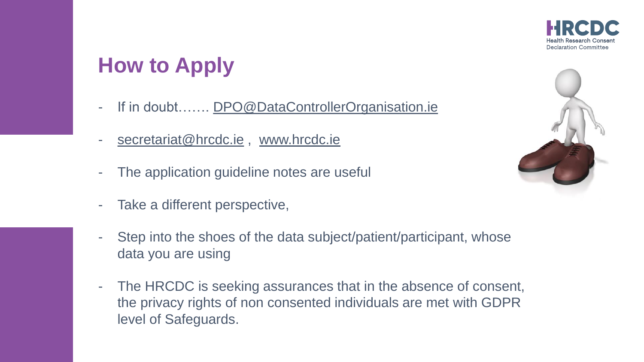

### **How to Apply**

- If in doubt……. [DPO@DataControllerOrganisation.ie](mailto:DPO@DataControllerOrganisation.ie)
- [secretariat@hrcdc.ie](mailto:secretariat@hrcdc.ie), [www.hrcdc.ie](http://www.hrcdc.ie/)
- The application guideline notes are useful
- Take a different perspective,
- Step into the shoes of the data subject/patient/participant, whose data you are using
- The HRCDC is seeking assurances that in the absence of consent, the privacy rights of non consented individuals are met with GDPR level of Safeguards.

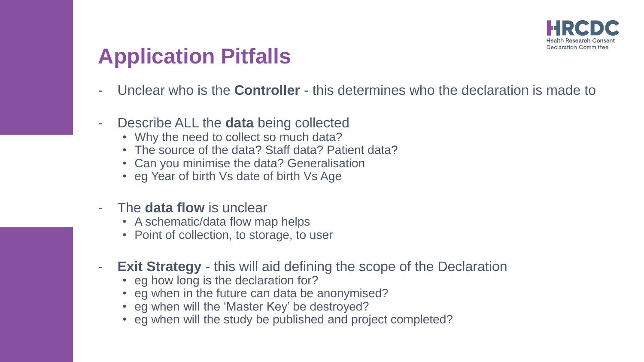

#### **Application Pitfalls**

- Unclear who is the **Controller** this determines who the declaration is made to
- Describe ALL the **data** being collected
	- Why the need to collect so much data?
	- The source of the data? Staff data? Patient data?
	- Can you minimise the data? Generalisation
	- eg Year of birth Vs date of birth Vs Age
- The **data flow** is unclear
	- A schematic/data flow map helps
	- Point of collection, to storage, to user
- **Exit Strategy**  this will aid defining the scope of the Declaration
	- eg how long is the declaration for?
	- eg when in the future can data be anonymised?
	- eg when will the 'Master Key' be destroyed?
	- eg when will the study be published and project completed?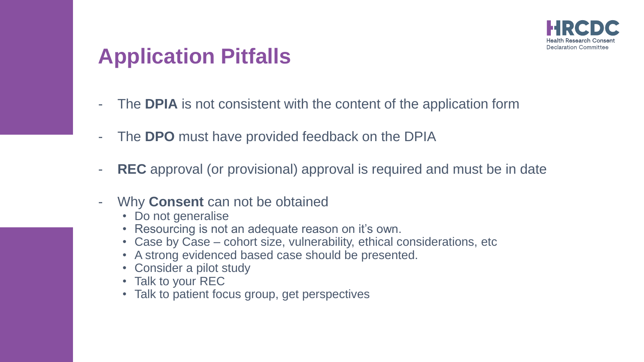

#### **Application Pitfalls**

- The **DPIA** is not consistent with the content of the application form
- The **DPO** must have provided feedback on the DPIA
- **REC** approval (or provisional) approval is required and must be in date
- Why **Consent** can not be obtained
	- Do not generalise
	- Resourcing is not an adequate reason on it's own.
	- Case by Case cohort size, vulnerability, ethical considerations, etc
	- A strong evidenced based case should be presented.
	- Consider a pilot study
	- Talk to your REC
	- Talk to patient focus group, get perspectives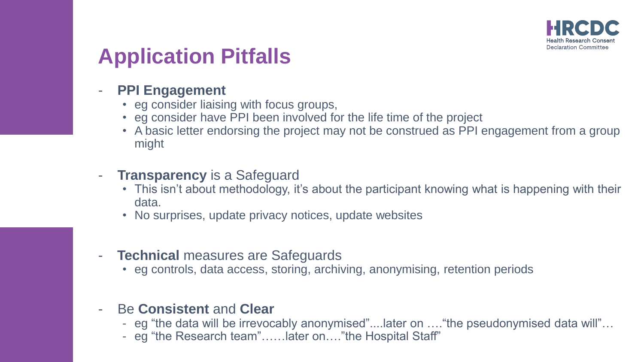

### **Application Pitfalls**

- **PPI Engagement**
	- eg consider liaising with focus groups,
	- eg consider have PPI been involved for the life time of the project
	- A basic letter endorsing the project may not be construed as PPI engagement from a group might
- **Transparency** is a Safeguard
	- This isn't about methodology, it's about the participant knowing what is happening with their data.
	- No surprises, update privacy notices, update websites
- **Technical** measures are Safeguards
	- eg controls, data access, storing, archiving, anonymising, retention periods
- Be **Consistent** and **Clear**
	- eg "the data will be irrevocably anonymised"....later on …."the pseudonymised data will"…
	- eg "the Research team"……later on…."the Hospital Staff"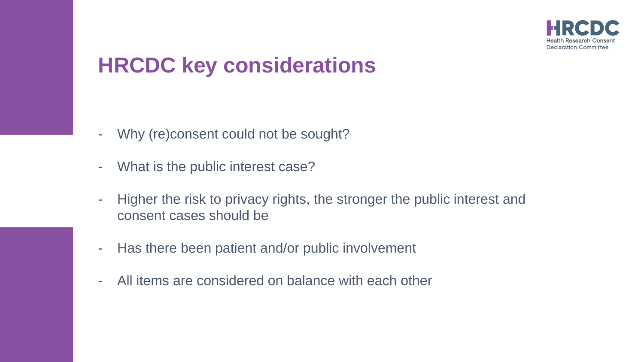

### **HRCDC key considerations**

- Why (re)consent could not be sought?
- What is the public interest case?
- Higher the risk to privacy rights, the stronger the public interest and consent cases should be
- Has there been patient and/or public involvement
- All items are considered on balance with each other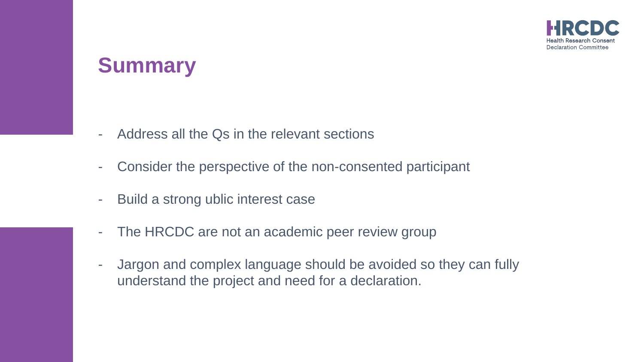

#### **Summary**

- Address all the Qs in the relevant sections
- Consider the perspective of the non-consented participant
- Build a strong ublic interest case
- The HRCDC are not an academic peer review group
- Jargon and complex language should be avoided so they can fully understand the project and need for a declaration.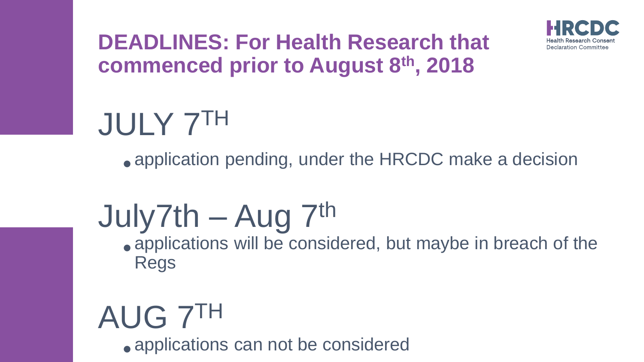

#### **DEADLINES: For Health Research that commenced prior to August 8th, 2018**

# JULY 7TH

• application pending, under the HRCDC make a decision

# July7th – Aug  $7<sup>th</sup>$

• applications will be considered, but maybe in breach of the Regs

# AUG 7<sup>IH</sup> • applications can not be considered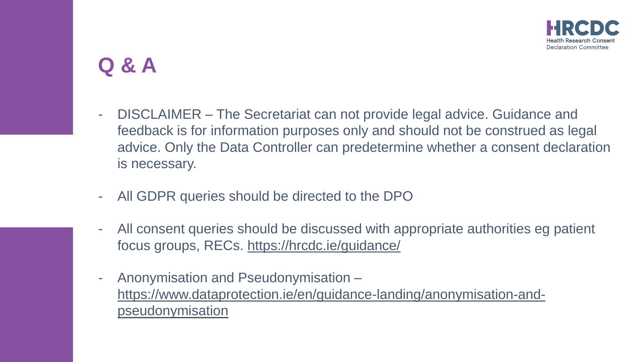### **Q & A**

- DISCLAIMER The Secretariat can not provide legal advice. Guidance and feedback is for information purposes only and should not be construed as legal advice. Only the Data Controller can predetermine whether a consent declaration is necessary.
- All GDPR queries should be directed to the DPO
- All consent queries should be discussed with appropriate authorities eg patient focus groups, RECs. <https://hrcdc.ie/guidance/>
- Anonymisation and Pseudonymisation [https://www.dataprotection.ie/en/guidance-landing/anonymisation-and](https://www.dataprotection.ie/en/guidance-landing/anonymisation-and-pseudonymisation)pseudonymisation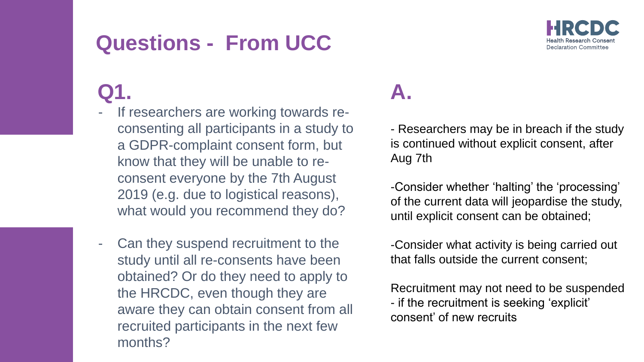### **Questions - From UCC**

## **Q1.**

- If researchers are working towards reconsenting all participants in a study to a GDPR-complaint consent form, but know that they will be unable to reconsent everyone by the 7th August 2019 (e.g. due to logistical reasons), what would you recommend they do?
- Can they suspend recruitment to the study until all re-consents have been obtained? Or do they need to apply to the HRCDC, even though they are aware they can obtain consent from all recruited participants in the next few months?

#### **A.**

- Researchers may be in breach if the study is continued without explicit consent, after Aug 7th

-Consider whether 'halting' the 'processing' of the current data will jeopardise the study, until explicit consent can be obtained;

-Consider what activity is being carried out that falls outside the current consent;

Recruitment may not need to be suspended - if the recruitment is seeking 'explicit' consent' of new recruits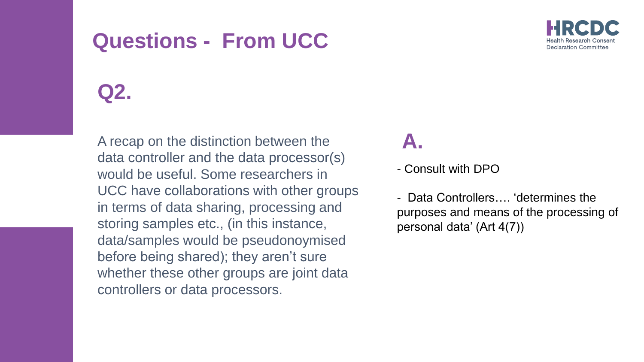#### **Questions - From UCC**



#### **Q2.**

A recap on the distinction between the data controller and the data processor(s) would be useful. Some researchers in UCC have collaborations with other groups in terms of data sharing, processing and storing samples etc., (in this instance, data/samples would be pseudonoymised before being shared); they aren't sure whether these other groups are joint data controllers or data processors.

#### **A.**

- Consult with DPO

- Data Controllers…. 'determines the purposes and means of the processing of personal data' (Art 4(7))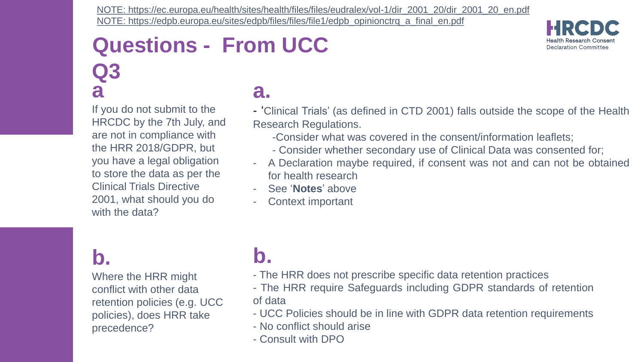[NOTE: https://ec.europa.eu/health/sites/health/files/files/eudralex/vol-1/dir\\_2001\\_20/dir\\_2001\\_20\\_en.pdf](https://ec.europa.eu/health/sites/health/files/files/eudralex/vol-1/dir_2001_20/dir_2001_20_en.pdf) [NOTE: https://edpb.europa.eu/sites/edpb/files/files/file1/edpb\\_opinionctrq\\_a\\_final\\_en.pdf](https://edpb.europa.eu/sites/edpb/files/files/file1/edpb_opinionctrq_a_final_en.pdf)

#### **Questions - From UCC Q3 a a.**

If you do not submit to the HRCDC by the 7th July, and are not in compliance with the HRR 2018/GDPR, but you have a legal obligation to store the data as per the Clinical Trials Directive 2001, what should you do with the data?

#### **b.**

Where the HRR might conflict with other data retention policies (e.g. UCC policies), does HRR take precedence?

- 'Clinical Trials' (as defined in CTD 2001) falls outside the scope of the Health Research Regulations.
	- -Consider what was covered in the consent/information leaflets;
	- Consider whether secondary use of Clinical Data was consented for;
- A Declaration maybe required, if consent was not and can not be obtained for health research
- See '**Notes**' above
- Context important
- **b.**
- The HRR does not prescribe specific data retention practices
- The HRR require Safeguards including GDPR standards of retention of data
- UCC Policies should be in line with GDPR data retention requirements
- No conflict should arise
- Consult with DPO

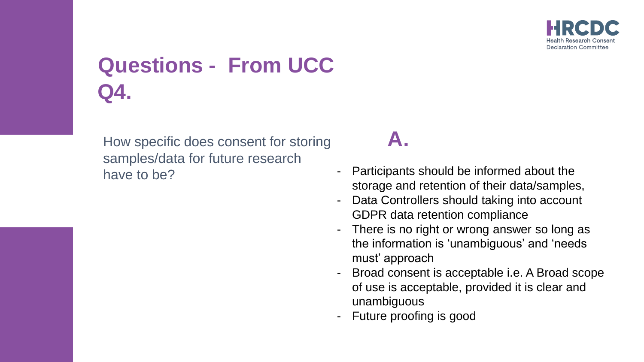

# **Questions - From UCC Q4.**

How specific does consent for storing samples/data for future research have to be?

#### **A.**

- Participants should be informed about the storage and retention of their data/samples,
- Data Controllers should taking into account GDPR data retention compliance
- There is no right or wrong answer so long as the information is 'unambiguous' and 'needs must' approach
- Broad consent is acceptable i.e. A Broad scope of use is acceptable, provided it is clear and unambiguous
- Future proofing is good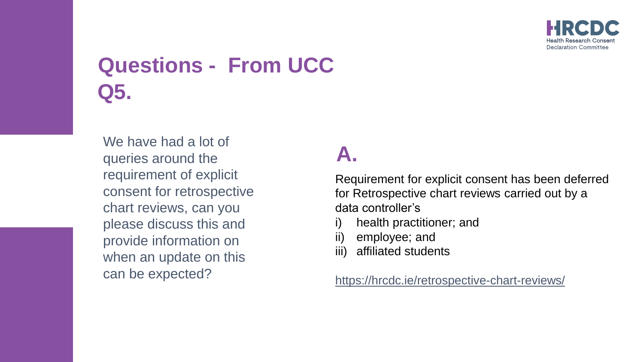

# **Questions - From UCC Q5.**

We have had a lot of queries around the requirement of explicit consent for retrospective chart reviews, can you please discuss this and provide information on when an update on this can be expected?

## **A.**

Requirement for explicit consent has been deferred for Retrospective chart reviews carried out by a data controller's

- i) health practitioner; and
- ii) employee; and
- iii) affiliated students

#### <https://hrcdc.ie/retrospective-chart-reviews/>